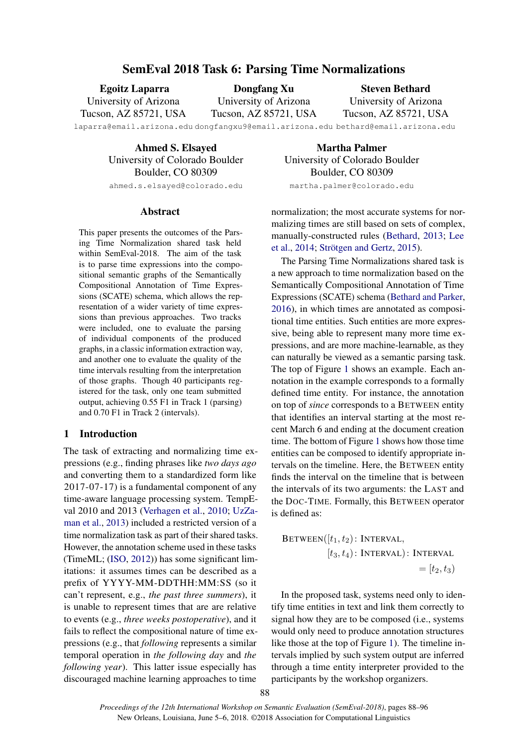## SemEval 2018 Task 6: Parsing Time Normalizations

Egoitz Laparra University of Arizona Tucson, AZ 85721, USA

Dongfang Xu University of Arizona Tucson, AZ 85721, USA

Steven Bethard University of Arizona Tucson, AZ 85721, USA

laparra@email.arizona.edu dongfangxu9@email.arizona.edu bethard@email.arizona.edu

Ahmed S. Elsayed University of Colorado Boulder Boulder, CO 80309

ahmed.s.elsayed@colorado.edu

#### Abstract

This paper presents the outcomes of the Parsing Time Normalization shared task held within SemEval-2018. The aim of the task is to parse time expressions into the compositional semantic graphs of the Semantically Compositional Annotation of Time Expressions (SCATE) schema, which allows the representation of a wider variety of time expressions than previous approaches. Two tracks were included, one to evaluate the parsing of individual components of the produced graphs, in a classic information extraction way, and another one to evaluate the quality of the time intervals resulting from the interpretation of those graphs. Though 40 participants registered for the task, only one team submitted output, achieving 0.55 F1 in Track 1 (parsing) and 0.70 F1 in Track 2 (intervals).

#### 1 Introduction

The task of extracting and normalizing time expressions (e.g., finding phrases like *two days ago* and converting them to a standardized form like 2017-07-17) is a fundamental component of any time-aware language processing system. TempEval 2010 and 2013 (Verhagen et al., 2010; UzZaman et al., 2013) included a restricted version of a time normalization task as part of their shared tasks. However, the annotation scheme used in these tasks (TimeML; (ISO, 2012)) has some significant limitations: it assumes times can be described as a prefix of YYYY-MM-DDTHH:MM:SS (so it can't represent, e.g., *the past three summers*), it is unable to represent times that are are relative to events (e.g., *three weeks postoperative*), and it fails to reflect the compositional nature of time expressions (e.g., that *following* represents a similar temporal operation in *the following day* and *the following year*). This latter issue especially has discouraged machine learning approaches to time

Martha Palmer University of Colorado Boulder Boulder, CO 80309 martha.palmer@colorado.edu

normalization; the most accurate systems for normalizing times are still based on sets of complex, manually-constructed rules (Bethard, 2013; Lee et al.,  $2014$ ; Strötgen and Gertz,  $2015$ ).

The Parsing Time Normalizations shared task is a new approach to time normalization based on the Semantically Compositional Annotation of Time Expressions (SCATE) schema (Bethard and Parker, 2016), in which times are annotated as compositional time entities. Such entities are more expressive, being able to represent many more time expressions, and are more machine-learnable, as they can naturally be viewed as a semantic parsing task. The top of Figure 1 shows an example. Each annotation in the example corresponds to a formally defined time entity. For instance, the annotation on top of *since* corresponds to a BETWEEN entity that identifies an interval starting at the most recent March 6 and ending at the document creation time. The bottom of Figure 1 shows how those time entities can be composed to identify appropriate intervals on the timeline. Here, the BETWEEN entity finds the interval on the timeline that is between the intervals of its two arguments: the LAST and the DOC-TIME. Formally, this BETWEEN operator is defined as:

$$
BETWEEN([t1, t2): INTERVAL,[t3, t4): INTERVAL): INTERVAL=[t2, t3)
$$

In the proposed task, systems need only to identify time entities in text and link them correctly to signal how they are to be composed (i.e., systems would only need to produce annotation structures like those at the top of Figure 1). The timeline intervals implied by such system output are inferred through a time entity interpreter provided to the participants by the workshop organizers.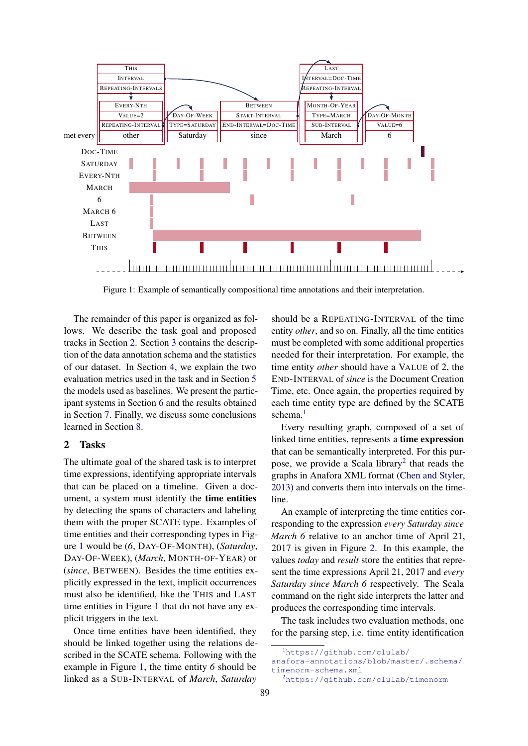

Figure 1: Example of semantically compositional time annotations and their interpretation.

The remainder of this paper is organized as follows. We describe the task goal and proposed tracks in Section 2. Section 3 contains the description of the data annotation schema and the statistics of our dataset. In Section 4, we explain the two evaluation metrics used in the task and in Section 5 the models used as baselines. We present the participant systems in Section 6 and the results obtained in Section 7. Finally, we discuss some conclusions learned in Section 8.

#### 2 Tasks

The ultimate goal of the shared task is to interpret time expressions, identifying appropriate intervals that can be placed on a timeline. Given a document, a system must identify the time entities by detecting the spans of characters and labeling them with the proper SCATE type. Examples of time entities and their corresponding types in Figure 1 would be (*6*, DAY-OF-MONTH), (*Saturday*, DAY-OF-WEEK), (*March*, MONTH-OF-YEAR) or (*since*, BETWEEN). Besides the time entities explicitly expressed in the text, implicit occurrences must also be identified, like the THIS and LAST time entities in Figure 1 that do not have any explicit triggers in the text.

Once time entities have been identified, they should be linked together using the relations described in the SCATE schema. Following with the example in Figure 1, the time entity *6* should be linked as a SUB-INTERVAL of *March*, *Saturday*

should be a REPEATING-INTERVAL of the time entity *other*, and so on. Finally, all the time entities must be completed with some additional properties needed for their interpretation. For example, the time entity *other* should have a VALUE of 2, the END-INTERVAL of *since* is the Document Creation Time, etc. Once again, the properties required by each time entity type are defined by the SCATE schema. $<sup>1</sup>$ </sup>

Every resulting graph, composed of a set of linked time entities, represents a time expression that can be semantically interpreted. For this purpose, we provide a Scala library<sup>2</sup> that reads the graphs in Anafora XML format (Chen and Styler, 2013) and converts them into intervals on the timeline.

An example of interpreting the time entities corresponding to the expression *every Saturday since March 6* relative to an anchor time of April 21, 2017 is given in Figure 2. In this example, the values *today* and *result* store the entities that represent the time expressions April 21, 2017 and *every Saturday since March 6* respectively. The Scala command on the right side interprets the latter and produces the corresponding time intervals.

The task includes two evaluation methods, one for the parsing step, i.e. time entity identification

<sup>1</sup>https://github.com/clulab/

anafora-annotations/blob/master/.schema/ timenorm-schema.xml

<sup>2</sup>https://github.com/clulab/timenorm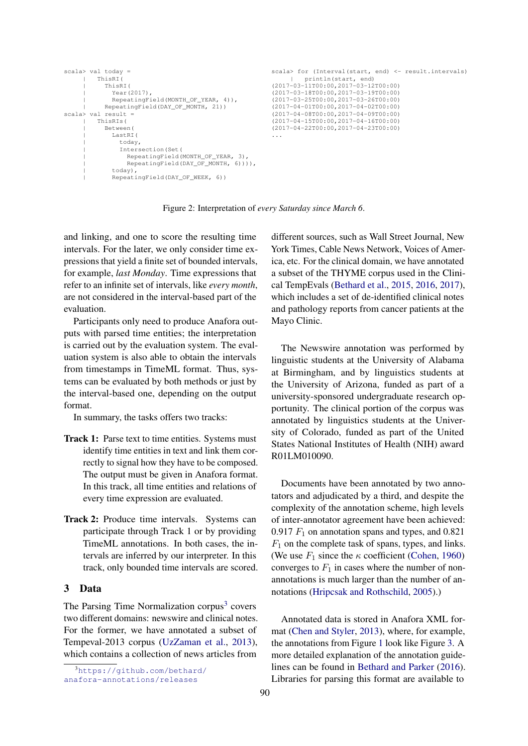| $scal$ val today =                  | scala> for (Interval(start, end) <- result.intervals) |
|-------------------------------------|-------------------------------------------------------|
| ThisRI(                             | println(start, end)                                   |
| ThisRI(                             | $(2017-03-11T00:00, 2017-03-12T00:00)$                |
| Year (2017),                        | $(2017-03-18T00:00, 2017-03-19T00:00)$                |
| RepeatingField(MONTH OF YEAR, 4)),  | $(2017-03-25T00:00, 2017-03-26T00:00)$                |
| RepeatingField(DAY OF MONTH, 21))   | $(2017-04-01T00:00, 2017-04-02T00:00)$                |
| $scal$ $\ge$ val result =           | $(2017 - 04 - 08T00:00, 2017 - 04 - 09T00:00)$        |
| ThisRIs (                           | $(2017 - 04 - 15T00:00, 2017 - 04 - 16T00:00)$        |
| Between (                           | $(2017 - 04 - 22T00:00, 2017 - 04 - 23T00:00)$        |
| LastRI(                             | $\cdots$                                              |
| today,                              |                                                       |
| Intersection (Set (                 |                                                       |
| RepeatingField(MONTH_OF_YEAR, 3),   |                                                       |
| RepeatingField(DAY OF MONTH, 6)))), |                                                       |
| today),                             |                                                       |
| RepeatingField(DAY OF WEEK, 6))     |                                                       |

Figure 2: Interpretation of *every Saturday since March 6*.

and linking, and one to score the resulting time intervals. For the later, we only consider time expressions that yield a finite set of bounded intervals, for example, *last Monday*. Time expressions that refer to an infinite set of intervals, like *every month*, are not considered in the interval-based part of the evaluation.

Participants only need to produce Anafora outputs with parsed time entities; the interpretation is carried out by the evaluation system. The evaluation system is also able to obtain the intervals from timestamps in TimeML format. Thus, systems can be evaluated by both methods or just by the interval-based one, depending on the output format.

In summary, the tasks offers two tracks:

- Track 1: Parse text to time entities. Systems must identify time entities in text and link them correctly to signal how they have to be composed. The output must be given in Anafora format. In this track, all time entities and relations of every time expression are evaluated.
- Track 2: Produce time intervals. Systems can participate through Track 1 or by providing TimeML annotations. In both cases, the intervals are inferred by our interpreter. In this track, only bounded time intervals are scored.

#### 3 Data

The Parsing Time Normalization corpus<sup>3</sup> covers two different domains: newswire and clinical notes. For the former, we have annotated a subset of Tempeval-2013 corpus (UzZaman et al., 2013), which contains a collection of news articles from

different sources, such as Wall Street Journal, New York Times, Cable News Network, Voices of America, etc. For the clinical domain, we have annotated a subset of the THYME corpus used in the Clinical TempEvals (Bethard et al., 2015, 2016, 2017), which includes a set of de-identified clinical notes and pathology reports from cancer patients at the Mayo Clinic.

The Newswire annotation was performed by linguistic students at the University of Alabama at Birmingham, and by linguistics students at the University of Arizona, funded as part of a university-sponsored undergraduate research opportunity. The clinical portion of the corpus was annotated by linguistics students at the University of Colorado, funded as part of the United States National Institutes of Health (NIH) award R01LM010090.

Documents have been annotated by two annotators and adjudicated by a third, and despite the complexity of the annotation scheme, high levels of inter-annotator agreement have been achieved: 0.917  $F_1$  on annotation spans and types, and 0.821  $F_1$  on the complete task of spans, types, and links. (We use  $F_1$  since the  $\kappa$  coefficient (Cohen, 1960) converges to  $F_1$  in cases where the number of nonannotations is much larger than the number of annotations (Hripcsak and Rothschild, 2005).)

Annotated data is stored in Anafora XML format (Chen and Styler, 2013), where, for example, the annotations from Figure 1 look like Figure 3. A more detailed explanation of the annotation guidelines can be found in Bethard and Parker (2016). Libraries for parsing this format are available to

<sup>3</sup>https://github.com/bethard/ anafora-annotations/releases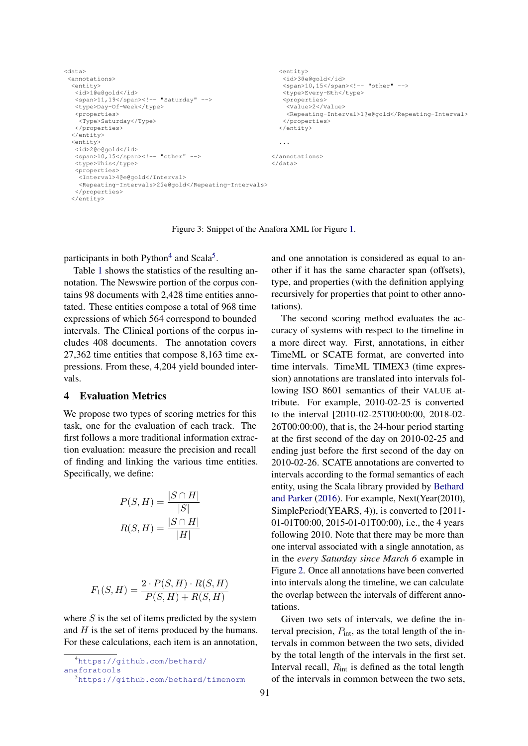```
<data>
<annotations>
<entity>
  <id>1@e@gold</id>
  <span>11,19</span><!-- "Saturday" -->
  <type>Day-Of-Week</type>
  <properties>
   <Type>Saturday</Type>
  </properties>
\langle/entity>
<entity>
  <id>2@e@gold</id>
  <span>10,15</span><!-- "other" -->
  <type>This</type>
  <properties>
  <Interval>4@e@gold</Interval>
   <Repeating-Intervals>2@e@gold</Repeating-Intervals>
  </properties>
</entity>
                                                           <entity>
                                                            <id>3@e@gold</id>
                                                            <span>10,15</span><!-- "other" -->
                                                            <type>Every-Nth</type>
                                                            <properties>
                                                             <Value>2</Value>
                                                             <Repeating-Interval>1@e@gold</Repeating-Interval>
                                                            </properties>
                                                           </entity>
                                                           ...
                                                         </annotations>
                                                         </data>
```
Figure 3: Snippet of the Anafora XML for Figure 1.

participants in both Python<sup>4</sup> and Scala<sup>5</sup>.

Table 1 shows the statistics of the resulting annotation. The Newswire portion of the corpus contains 98 documents with 2,428 time entities annotated. These entities compose a total of 968 time expressions of which 564 correspond to bounded intervals. The Clinical portions of the corpus includes 408 documents. The annotation covers 27,362 time entities that compose 8,163 time expressions. From these, 4,204 yield bounded intervals.

#### 4 Evaluation Metrics

We propose two types of scoring metrics for this task, one for the evaluation of each track. The first follows a more traditional information extraction evaluation: measure the precision and recall of finding and linking the various time entities. Specifically, we define:

$$
P(S, H) = \frac{|S \cap H|}{|S|}
$$

$$
R(S, H) = \frac{|S \cap H|}{|H|}
$$

$$
F_1(S, H) = \frac{2 \cdot P(S, H) \cdot R(S, H)}{P(S, H) + R(S, H)}
$$

where  $S$  is the set of items predicted by the system and  $H$  is the set of items produced by the humans. For these calculations, each item is an annotation,

```
4https://github.com/bethard/
```
anaforatools

<sup>5</sup>https://github.com/bethard/timenorm

and one annotation is considered as equal to another if it has the same character span (offsets), type, and properties (with the definition applying recursively for properties that point to other annotations).

The second scoring method evaluates the accuracy of systems with respect to the timeline in a more direct way. First, annotations, in either TimeML or SCATE format, are converted into time intervals. TimeML TIMEX3 (time expression) annotations are translated into intervals following ISO 8601 semantics of their VALUE attribute. For example, 2010-02-25 is converted to the interval [2010-02-25T00:00:00, 2018-02- 26T00:00:00), that is, the 24-hour period starting at the first second of the day on 2010-02-25 and ending just before the first second of the day on 2010-02-26. SCATE annotations are converted to intervals according to the formal semantics of each entity, using the Scala library provided by Bethard and Parker (2016). For example, Next(Year(2010), SimplePeriod(YEARS, 4)), is converted to [2011- 01-01T00:00, 2015-01-01T00:00), i.e., the 4 years following 2010. Note that there may be more than one interval associated with a single annotation, as in the *every Saturday since March 6* example in Figure 2. Once all annotations have been converted into intervals along the timeline, we can calculate the overlap between the intervals of different annotations.

Given two sets of intervals, we define the interval precision,  $P_{\text{int}}$ , as the total length of the intervals in common between the two sets, divided by the total length of the intervals in the first set. Interval recall,  $R_{\text{int}}$  is defined as the total length of the intervals in common between the two sets,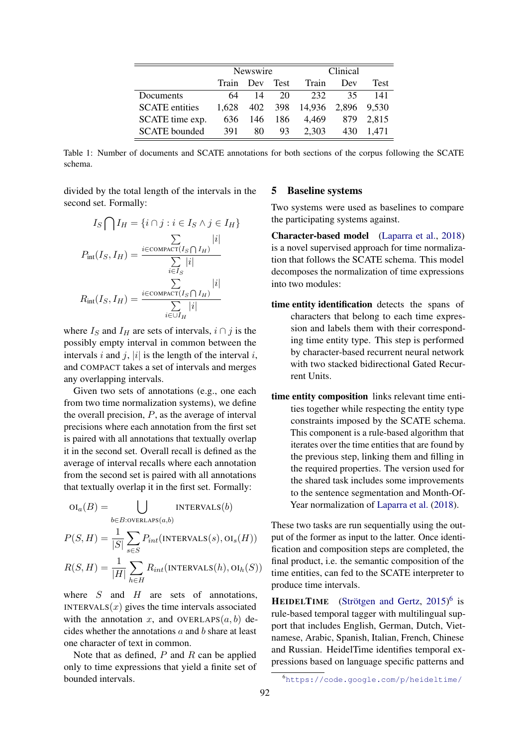|                       | Newswire |          |     | Clinical                   |      |             |
|-----------------------|----------|----------|-----|----------------------------|------|-------------|
|                       | Train    | Dev Test |     | Train                      | Dev  | <b>Test</b> |
| Documents             | 64       | 14       | 20  | 232                        | 35.  | 141         |
| <b>SCATE</b> entities | 1.628    |          |     | 402 398 14,936 2,896 9,530 |      |             |
| SCATE time exp.       | 636      | 146      | 186 | 4.469                      | 879. | 2.815       |
| <b>SCATE</b> bounded  | 391      | 80       | 93  | 2.303                      | 430  | 1.471       |

Table 1: Number of documents and SCATE annotations for both sections of the corpus following the SCATE schema.

divided by the total length of the intervals in the second set. Formally:

$$
I_S \bigcap I_H = \{i \cap j : i \in I_S \land j \in I_H\}
$$

$$
P_{\text{int}}(I_S, I_H) = \frac{\sum_{i \in \text{COMPACT}} |i|}{\sum_{i \in I_S} |i|}
$$

$$
R_{\text{int}}(I_S, I_H) = \frac{\sum_{i \in \text{COMPACT}} |i|}{\sum_{i \in \cup I_H} |i|}
$$

where  $I_S$  and  $I_H$  are sets of intervals,  $i \cap j$  is the possibly empty interval in common between the intervals i and j, |i| is the length of the interval i, and COMPACT takes a set of intervals and merges any overlapping intervals.

Given two sets of annotations (e.g., one each from two time normalization systems), we define the overall precision,  $P$ , as the average of interval precisions where each annotation from the first set is paired with all annotations that textually overlap it in the second set. Overall recall is defined as the average of interval recalls where each annotation from the second set is paired with all annotations that textually overlap it in the first set. Formally:

$$
oI_a(B) = \bigcup_{b \in B: \text{overLAPS}(a,b)} \text{INTERVALS}(b)
$$

$$
P(S, H) = \frac{1}{|S|} \sum_{s \in S} P_{int}(\text{INTERVALS}(s), \text{OI}_s(H))
$$

$$
R(S, H) = \frac{1}{|H|} \sum_{h \in H} R_{int}(\text{INTERVALS}(h), \text{OI}_h(S))
$$

where  $S$  and  $H$  are sets of annotations, INTERVALS $(x)$  gives the time intervals associated with the annotation x, and OVERLAPS $(a, b)$  decides whether the annotations a and b share at least one character of text in common.

Note that as defined,  $P$  and  $R$  can be applied only to time expressions that yield a finite set of bounded intervals.

### 5 Baseline systems

Two systems were used as baselines to compare the participating systems against.

Character-based model (Laparra et al., 2018) is a novel supervised approach for time normalization that follows the SCATE schema. This model decomposes the normalization of time expressions into two modules:

- time entity identification detects the spans of characters that belong to each time expression and labels them with their corresponding time entity type. This step is performed by character-based recurrent neural network with two stacked bidirectional Gated Recurrent Units.
- time entity composition links relevant time entities together while respecting the entity type constraints imposed by the SCATE schema. This component is a rule-based algorithm that iterates over the time entities that are found by the previous step, linking them and filling in the required properties. The version used for the shared task includes some improvements to the sentence segmentation and Month-Of-Year normalization of Laparra et al. (2018).

These two tasks are run sequentially using the output of the former as input to the latter. Once identification and composition steps are completed, the final product, i.e. the semantic composition of the time entities, can fed to the SCATE interpreter to produce time intervals.

**HEIDELTIME** (Strötgen and Gertz,  $2015$ <sup>6</sup> is rule-based temporal tagger with multilingual support that includes English, German, Dutch, Vietnamese, Arabic, Spanish, Italian, French, Chinese and Russian. HeidelTime identifies temporal expressions based on language specific patterns and

<sup>6</sup>https://code.google.com/p/heideltime/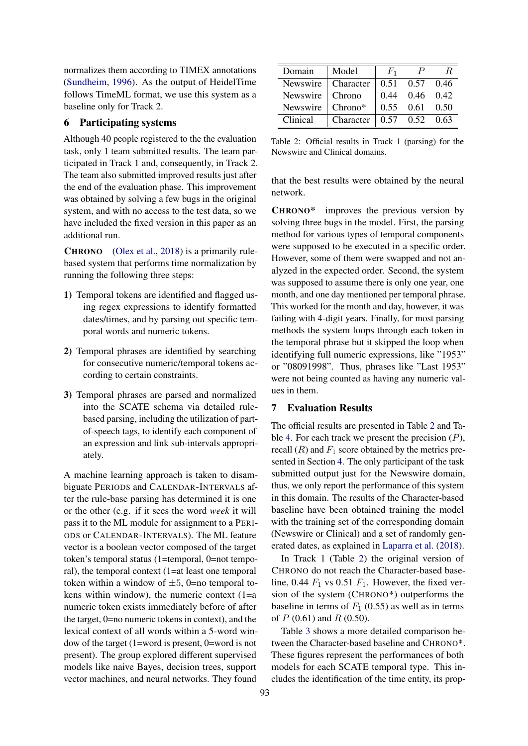normalizes them according to TIMEX annotations (Sundheim, 1996). As the output of HeidelTime follows TimeML format, we use this system as a baseline only for Track 2.

### 6 Participating systems

Although 40 people registered to the the evaluation task, only 1 team submitted results. The team participated in Track 1 and, consequently, in Track 2. The team also submitted improved results just after the end of the evaluation phase. This improvement was obtained by solving a few bugs in the original system, and with no access to the test data, so we have included the fixed version in this paper as an additional run.

CHRONO (Olex et al., 2018) is a primarily rulebased system that performs time normalization by running the following three steps:

- 1) Temporal tokens are identified and flagged using regex expressions to identify formatted dates/times, and by parsing out specific temporal words and numeric tokens.
- 2) Temporal phrases are identified by searching for consecutive numeric/temporal tokens according to certain constraints.
- 3) Temporal phrases are parsed and normalized into the SCATE schema via detailed rulebased parsing, including the utilization of partof-speech tags, to identify each component of an expression and link sub-intervals appropriately.

A machine learning approach is taken to disambiguate PERIODS and CALENDAR-INTERVALS after the rule-base parsing has determined it is one or the other (e.g. if it sees the word *week* it will pass it to the ML module for assignment to a PERI-ODS or CALENDAR-INTERVALS). The ML feature vector is a boolean vector composed of the target token's temporal status (1=temporal, 0=not temporal), the temporal context (1=at least one temporal token within a window of  $\pm 5$ , 0=no temporal tokens within window), the numeric context  $(1=a$ numeric token exists immediately before of after the target, 0=no numeric tokens in context), and the lexical context of all words within a 5-word window of the target (1=word is present, 0=word is not present). The group explored different supervised models like naive Bayes, decision trees, support vector machines, and neural networks. They found

| Domain               | Model            | $F_1$ |                      |  |
|----------------------|------------------|-------|----------------------|--|
| Newswire   Character |                  |       | $0.51$ $0.57$ $0.46$ |  |
| Newswire   Chrono    |                  |       | $0.44$ $0.46$ $0.42$ |  |
| Newswire             | Chrono*          |       | $0.55$ 0.61 0.50     |  |
| Clinical             | $Character \mid$ |       | $0.57$ $0.52$ $0.63$ |  |

Table 2: Official results in Track 1 (parsing) for the Newswire and Clinical domains.

that the best results were obtained by the neural network.

CHRONO\* improves the previous version by solving three bugs in the model. First, the parsing method for various types of temporal components were supposed to be executed in a specific order. However, some of them were swapped and not analyzed in the expected order. Second, the system was supposed to assume there is only one year, one month, and one day mentioned per temporal phrase. This worked for the month and day, however, it was failing with 4-digit years. Finally, for most parsing methods the system loops through each token in the temporal phrase but it skipped the loop when identifying full numeric expressions, like "1953" or "08091998". Thus, phrases like "Last 1953" were not being counted as having any numeric values in them.

## 7 Evaluation Results

The official results are presented in Table 2 and Table 4. For each track we present the precision  $(P)$ , recall  $(R)$  and  $F_1$  score obtained by the metrics presented in Section 4. The only participant of the task submitted output just for the Newswire domain, thus, we only report the performance of this system in this domain. The results of the Character-based baseline have been obtained training the model with the training set of the corresponding domain (Newswire or Clinical) and a set of randomly generated dates, as explained in Laparra et al. (2018).

In Track 1 (Table 2) the original version of CHRONO do not reach the Character-based baseline, 0.44  $F_1$  vs 0.51  $F_1$ . However, the fixed version of the system (CHRONO\*) outperforms the baseline in terms of  $F_1$  (0.55) as well as in terms of  $P(0.61)$  and  $R(0.50)$ .

Table 3 shows a more detailed comparison between the Character-based baseline and CHRONO\*. These figures represent the performances of both models for each SCATE temporal type. This includes the identification of the time entity, its prop-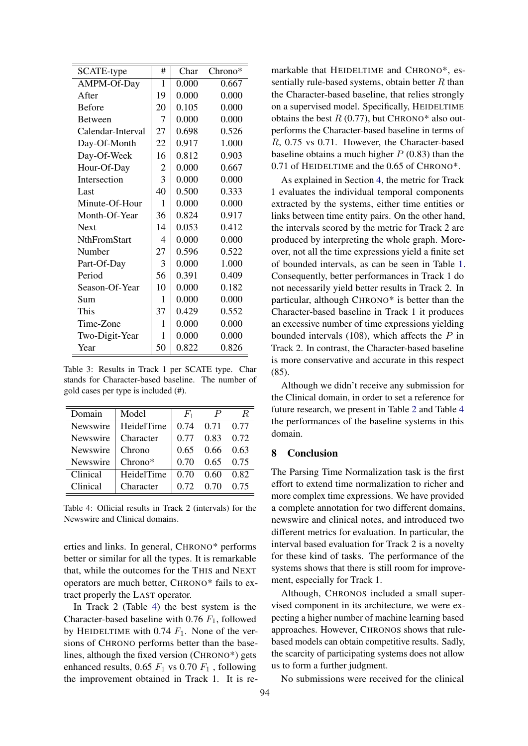| SCATE-type          | #  | Char  | Chrono* |
|---------------------|----|-------|---------|
| AMPM-Of-Day         | 1  | 0.000 | 0.667   |
| <b>A</b> fter       | 19 | 0.000 | 0.000   |
| <b>Before</b>       | 20 | 0.105 | 0.000   |
| <b>Between</b>      | 7  | 0.000 | 0.000   |
| Calendar-Interval   | 27 | 0.698 | 0.526   |
| Day-Of-Month        | 22 | 0.917 | 1.000   |
| Day-Of-Week         | 16 | 0.812 | 0.903   |
| Hour-Of-Day         | 2  | 0.000 | 0.667   |
| Intersection        | 3  | 0.000 | 0.000   |
| Last                | 40 | 0.500 | 0.333   |
| Minute-Of-Hour      | 1  | 0.000 | 0.000   |
| Month-Of-Year       | 36 | 0.824 | 0.917   |
| <b>Next</b>         | 14 | 0.053 | 0.412   |
| <b>NthFromStart</b> | 4  | 0.000 | 0.000   |
| Number              | 27 | 0.596 | 0.522   |
| Part-Of-Day         | 3  | 0.000 | 1.000   |
| Period              | 56 | 0.391 | 0.409   |
| Season-Of-Year      | 10 | 0.000 | 0.182   |
| Sum                 | 1  | 0.000 | 0.000   |
| This                | 37 | 0.429 | 0.552   |
| Time-Zone           | 1  | 0.000 | 0.000   |
| Two-Digit-Year      | 1  | 0.000 | 0.000   |
| Year                | 50 | 0.822 | 0.826   |

Table 3: Results in Track 1 per SCATE type. Char stands for Character-based baseline. The number of gold cases per type is included (#).

| Domain                 | Model      | $F_1$ |      | R    |
|------------------------|------------|-------|------|------|
| Newswire<br>HeidelTime |            | 0.74  | 0.71 | 0.77 |
| Newswire               | Character  | 0.77  | 0.83 | 0.72 |
| Newswire               | Chrono     | 0.65  | 0.66 | 0.63 |
| Newswire               | Chrono*    | 0.70  | 0.65 | 0.75 |
| Clinical               | HeidelTime | 0.70  | 0.60 | 0.82 |
| Clinical               | Character  | 0.72  | 0.70 | 0.75 |

Table 4: Official results in Track 2 (intervals) for the Newswire and Clinical domains.

erties and links. In general, CHRONO\* performs better or similar for all the types. It is remarkable that, while the outcomes for the THIS and NEXT operators are much better, CHRONO\* fails to extract properly the LAST operator.

In Track 2 (Table 4) the best system is the Character-based baseline with 0.76  $F_1$ , followed by HEIDELTIME with 0.74  $F_1$ . None of the versions of CHRONO performs better than the baselines, although the fixed version (CHRONO\*) gets enhanced results, 0.65  $F_1$  vs 0.70  $F_1$ , following the improvement obtained in Track 1. It is remarkable that HEIDELTIME and CHRONO\*, essentially rule-based systems, obtain better  $R$  than the Character-based baseline, that relies strongly on a supervised model. Specifically, HEIDELTIME obtains the best  $R$  (0.77), but CHRONO\* also outperforms the Character-based baseline in terms of R, 0.75 vs 0.71. However, the Character-based baseline obtains a much higher  $P(0.83)$  than the 0.71 of HEIDELTIME and the 0.65 of CHRONO\*.

As explained in Section 4, the metric for Track 1 evaluates the individual temporal components extracted by the systems, either time entities or links between time entity pairs. On the other hand, the intervals scored by the metric for Track 2 are produced by interpreting the whole graph. Moreover, not all the time expressions yield a finite set of bounded intervals, as can be seen in Table 1. Consequently, better performances in Track 1 do not necessarily yield better results in Track 2. In particular, although CHRONO\* is better than the Character-based baseline in Track 1 it produces an excessive number of time expressions yielding bounded intervals  $(108)$ , which affects the P in Track 2. In contrast, the Character-based baseline is more conservative and accurate in this respect (85).

Although we didn't receive any submission for the Clinical domain, in order to set a reference for future research, we present in Table 2 and Table 4 the performances of the baseline systems in this domain.

# 8 Conclusion

The Parsing Time Normalization task is the first effort to extend time normalization to richer and more complex time expressions. We have provided a complete annotation for two different domains, newswire and clinical notes, and introduced two different metrics for evaluation. In particular, the interval based evaluation for Track 2 is a novelty for these kind of tasks. The performance of the systems shows that there is still room for improvement, especially for Track 1.

Although, CHRONOS included a small supervised component in its architecture, we were expecting a higher number of machine learning based approaches. However, CHRONOS shows that rulebased models can obtain competitive results. Sadly, the scarcity of participating systems does not allow us to form a further judgment.

No submissions were received for the clinical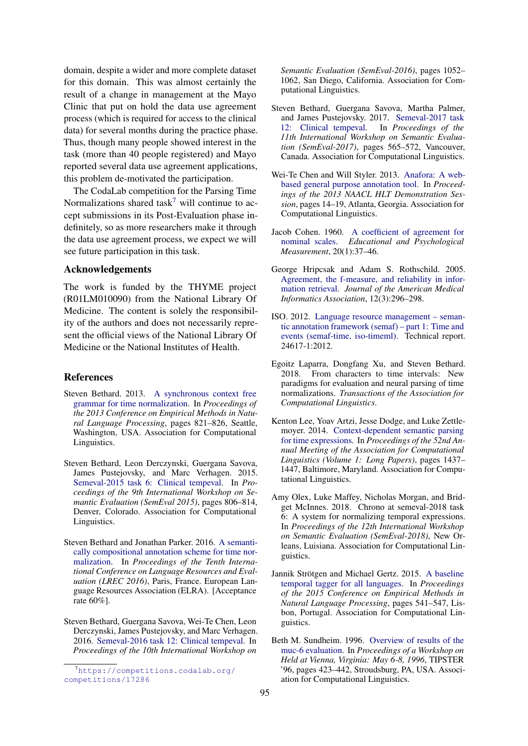domain, despite a wider and more complete dataset for this domain. This was almost certainly the result of a change in management at the Mayo Clinic that put on hold the data use agreement process (which is required for access to the clinical data) for several months during the practice phase. Thus, though many people showed interest in the task (more than 40 people registered) and Mayo reported several data use agreement applications, this problem de-motivated the participation.

The CodaLab competition for the Parsing Time Normalizations shared task<sup>7</sup> will continue to accept submissions in its Post-Evaluation phase indefinitely, so as more researchers make it through the data use agreement process, we expect we will see future participation in this task.

## Acknowledgements

The work is funded by the THYME project (R01LM010090) from the National Library Of Medicine. The content is solely the responsibility of the authors and does not necessarily represent the official views of the National Library Of Medicine or the National Institutes of Health.

#### References

- Steven Bethard. 2013. A synchronous context free grammar for time normalization. In *Proceedings of the 2013 Conference on Empirical Methods in Natural Language Processing*, pages 821–826, Seattle, Washington, USA. Association for Computational Linguistics.
- Steven Bethard, Leon Derczynski, Guergana Savova, James Pustejovsky, and Marc Verhagen. 2015. Semeval-2015 task 6: Clinical tempeval. In *Proceedings of the 9th International Workshop on Semantic Evaluation (SemEval 2015)*, pages 806–814, Denver, Colorado. Association for Computational Linguistics.
- Steven Bethard and Jonathan Parker. 2016. A semantically compositional annotation scheme for time normalization. In *Proceedings of the Tenth International Conference on Language Resources and Evaluation (LREC 2016)*, Paris, France. European Language Resources Association (ELRA). [Acceptance rate 60%].
- Steven Bethard, Guergana Savova, Wei-Te Chen, Leon Derczynski, James Pustejovsky, and Marc Verhagen. 2016. Semeval-2016 task 12: Clinical tempeval. In *Proceedings of the 10th International Workshop on*

*Semantic Evaluation (SemEval-2016)*, pages 1052– 1062, San Diego, California. Association for Computational Linguistics.

- Steven Bethard, Guergana Savova, Martha Palmer, and James Pustejovsky. 2017. Semeval-2017 task 12: Clinical tempeval. In *Proceedings of the 11th International Workshop on Semantic Evaluation (SemEval-2017)*, pages 565–572, Vancouver, Canada. Association for Computational Linguistics.
- Wei-Te Chen and Will Styler. 2013. Anafora: A webbased general purpose annotation tool. In *Proceedings of the 2013 NAACL HLT Demonstration Session*, pages 14–19, Atlanta, Georgia. Association for Computational Linguistics.
- Jacob Cohen. 1960. A coefficient of agreement for nominal scales. *Educational and Psychological Measurement*, 20(1):37–46.
- George Hripcsak and Adam S. Rothschild. 2005. Agreement, the f-measure, and reliability in information retrieval. *Journal of the American Medical Informatics Association*, 12(3):296–298.
- ISO. 2012. Language resource management semantic annotation framework (semaf) – part 1: Time and events (semaf-time, iso-timeml). Technical report. 24617-1:2012.
- Egoitz Laparra, Dongfang Xu, and Steven Bethard. 2018. From characters to time intervals: New paradigms for evaluation and neural parsing of time normalizations. *Transactions of the Association for Computational Linguistics*.
- Kenton Lee, Yoav Artzi, Jesse Dodge, and Luke Zettlemoyer. 2014. Context-dependent semantic parsing for time expressions. In *Proceedings of the 52nd Annual Meeting of the Association for Computational Linguistics (Volume 1: Long Papers)*, pages 1437– 1447, Baltimore, Maryland. Association for Computational Linguistics.
- Amy Olex, Luke Maffey, Nicholas Morgan, and Bridget McInnes. 2018. Chrono at semeval-2018 task 6: A system for normalizing temporal expressions. In *Proceedings of the 12th International Workshop on Semantic Evaluation (SemEval-2018)*, New Orleans, Luisiana. Association for Computational Linguistics.
- Jannik Strötgen and Michael Gertz. 2015. A baseline temporal tagger for all languages. In *Proceedings of the 2015 Conference on Empirical Methods in Natural Language Processing*, pages 541–547, Lisbon, Portugal. Association for Computational Linguistics.
- Beth M. Sundheim. 1996. Overview of results of the muc-6 evaluation. In *Proceedings of a Workshop on Held at Vienna, Virginia: May 6-8, 1996*, TIPSTER '96, pages 423–442, Stroudsburg, PA, USA. Association for Computational Linguistics.

<sup>7</sup>https://competitions.codalab.org/ competitions/17286